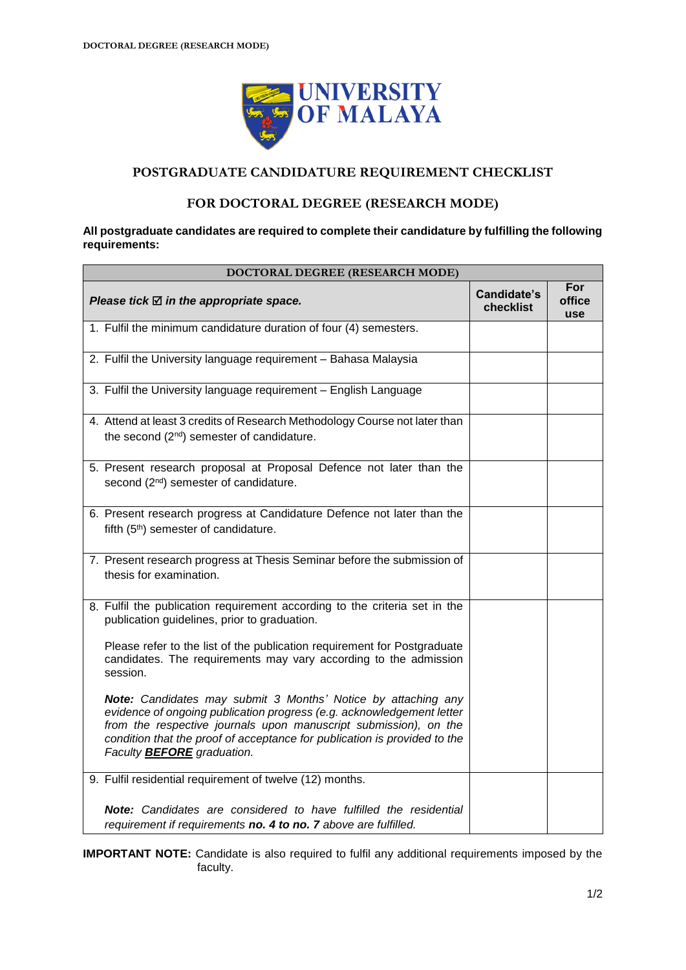

## **POSTGRADUATE CANDIDATURE REQUIREMENT CHECKLIST**

### **FOR DOCTORAL DEGREE (RESEARCH MODE)**

#### **All postgraduate candidates are required to complete their candidature by fulfilling the following requirements:**

| DOCTORAL DEGREE (RESEARCH MODE)                                                                                                                                                                                                                                                                                              |                          |                      |  |
|------------------------------------------------------------------------------------------------------------------------------------------------------------------------------------------------------------------------------------------------------------------------------------------------------------------------------|--------------------------|----------------------|--|
| Please tick $\boxtimes$ in the appropriate space.                                                                                                                                                                                                                                                                            | Candidate's<br>checklist | For<br>office<br>use |  |
| 1. Fulfil the minimum candidature duration of four (4) semesters.                                                                                                                                                                                                                                                            |                          |                      |  |
| 2. Fulfil the University language requirement - Bahasa Malaysia                                                                                                                                                                                                                                                              |                          |                      |  |
| 3. Fulfil the University language requirement - English Language                                                                                                                                                                                                                                                             |                          |                      |  |
| 4. Attend at least 3 credits of Research Methodology Course not later than<br>the second (2 <sup>nd</sup> ) semester of candidature.                                                                                                                                                                                         |                          |                      |  |
| 5. Present research proposal at Proposal Defence not later than the<br>second (2 <sup>nd</sup> ) semester of candidature.                                                                                                                                                                                                    |                          |                      |  |
| 6. Present research progress at Candidature Defence not later than the<br>fifth (5 <sup>th</sup> ) semester of candidature.                                                                                                                                                                                                  |                          |                      |  |
| 7. Present research progress at Thesis Seminar before the submission of<br>thesis for examination.                                                                                                                                                                                                                           |                          |                      |  |
| 8. Fulfil the publication requirement according to the criteria set in the<br>publication guidelines, prior to graduation.                                                                                                                                                                                                   |                          |                      |  |
| Please refer to the list of the publication requirement for Postgraduate<br>candidates. The requirements may vary according to the admission<br>session.                                                                                                                                                                     |                          |                      |  |
| Note: Candidates may submit 3 Months' Notice by attaching any<br>evidence of ongoing publication progress (e.g. acknowledgement letter<br>from the respective journals upon manuscript submission), on the<br>condition that the proof of acceptance for publication is provided to the<br>Faculty <b>BEFORE</b> graduation. |                          |                      |  |
| 9. Fulfil residential requirement of twelve (12) months.                                                                                                                                                                                                                                                                     |                          |                      |  |
| Note: Candidates are considered to have fulfilled the residential<br>requirement if requirements no. 4 to no. 7 above are fulfilled.                                                                                                                                                                                         |                          |                      |  |

**IMPORTANT NOTE:** Candidate is also required to fulfil any additional requirements imposed by the faculty.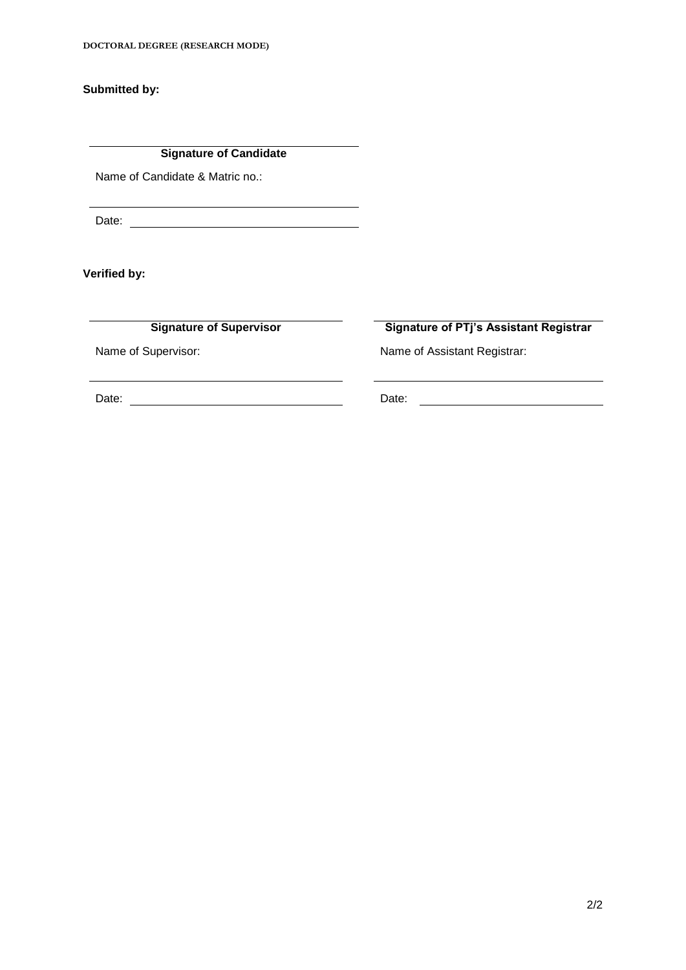**Submitted by:**

**Signature of Candidate**

<u> 1980 - Johann Barn, mars ar breithinn ar breithinn ar breithinn ar breithinn ar breithinn ar breithinn ar br</u>

Name of Candidate & Matric no.:

Date:

**Verified by:**

**Signature of Supervisor Signature of PTj's Assistant Registrar**

Name of Supervisor: Name of Assistant Registrar:

Date: Date: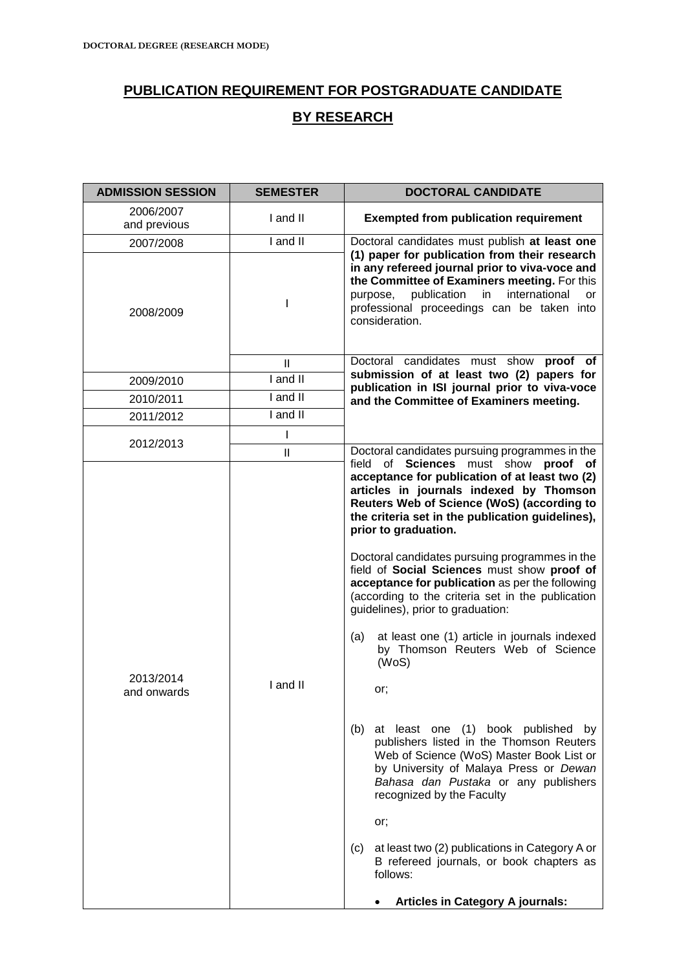# **PUBLICATION REQUIREMENT FOR POSTGRADUATE CANDIDATE BY RESEARCH**

| <b>ADMISSION SESSION</b>  | <b>SEMESTER</b> | <b>DOCTORAL CANDIDATE</b>                                                                                                                                                                                                                                                                                                                                                                                                                                                                                                                                                                                                                                                                                                                                                                                                                                                                                                                                                                         |  |
|---------------------------|-----------------|---------------------------------------------------------------------------------------------------------------------------------------------------------------------------------------------------------------------------------------------------------------------------------------------------------------------------------------------------------------------------------------------------------------------------------------------------------------------------------------------------------------------------------------------------------------------------------------------------------------------------------------------------------------------------------------------------------------------------------------------------------------------------------------------------------------------------------------------------------------------------------------------------------------------------------------------------------------------------------------------------|--|
| 2006/2007<br>and previous | I and II        | <b>Exempted from publication requirement</b>                                                                                                                                                                                                                                                                                                                                                                                                                                                                                                                                                                                                                                                                                                                                                                                                                                                                                                                                                      |  |
| 2007/2008                 | I and II        | Doctoral candidates must publish at least one                                                                                                                                                                                                                                                                                                                                                                                                                                                                                                                                                                                                                                                                                                                                                                                                                                                                                                                                                     |  |
| 2008/2009                 |                 | (1) paper for publication from their research<br>in any refereed journal prior to viva-voce and<br>the Committee of Examiners meeting. For this<br>publication<br>in<br>international<br>purpose,<br>or<br>professional proceedings can be taken into<br>consideration.                                                                                                                                                                                                                                                                                                                                                                                                                                                                                                                                                                                                                                                                                                                           |  |
|                           | $\mathbf{I}$    | Doctoral candidates must show proof of                                                                                                                                                                                                                                                                                                                                                                                                                                                                                                                                                                                                                                                                                                                                                                                                                                                                                                                                                            |  |
| 2009/2010                 | I and II        | submission of at least two (2) papers for<br>publication in ISI journal prior to viva-voce                                                                                                                                                                                                                                                                                                                                                                                                                                                                                                                                                                                                                                                                                                                                                                                                                                                                                                        |  |
| 2010/2011                 | I and II        | and the Committee of Examiners meeting.                                                                                                                                                                                                                                                                                                                                                                                                                                                                                                                                                                                                                                                                                                                                                                                                                                                                                                                                                           |  |
| 2011/2012                 | I and II        |                                                                                                                                                                                                                                                                                                                                                                                                                                                                                                                                                                                                                                                                                                                                                                                                                                                                                                                                                                                                   |  |
| 2012/2013                 | I               |                                                                                                                                                                                                                                                                                                                                                                                                                                                                                                                                                                                                                                                                                                                                                                                                                                                                                                                                                                                                   |  |
|                           | $\mathbf{II}$   | Doctoral candidates pursuing programmes in the<br>field of Sciences must show proof of                                                                                                                                                                                                                                                                                                                                                                                                                                                                                                                                                                                                                                                                                                                                                                                                                                                                                                            |  |
| 2013/2014<br>and onwards  | I and II        | acceptance for publication of at least two (2)<br>articles in journals indexed by Thomson<br>Reuters Web of Science (WoS) (according to<br>the criteria set in the publication guidelines),<br>prior to graduation.<br>Doctoral candidates pursuing programmes in the<br>field of Social Sciences must show proof of<br>acceptance for publication as per the following<br>(according to the criteria set in the publication<br>guidelines), prior to graduation:<br>at least one (1) article in journals indexed<br>(a)<br>by Thomson Reuters Web of Science<br>(WoS)<br>or;<br>(b) at least one (1) book published by<br>publishers listed in the Thomson Reuters<br>Web of Science (WoS) Master Book List or<br>by University of Malaya Press or Dewan<br>Bahasa dan Pustaka or any publishers<br>recognized by the Faculty<br>or;<br>at least two (2) publications in Category A or<br>(c)<br>B refereed journals, or book chapters as<br>follows:<br><b>Articles in Category A journals:</b> |  |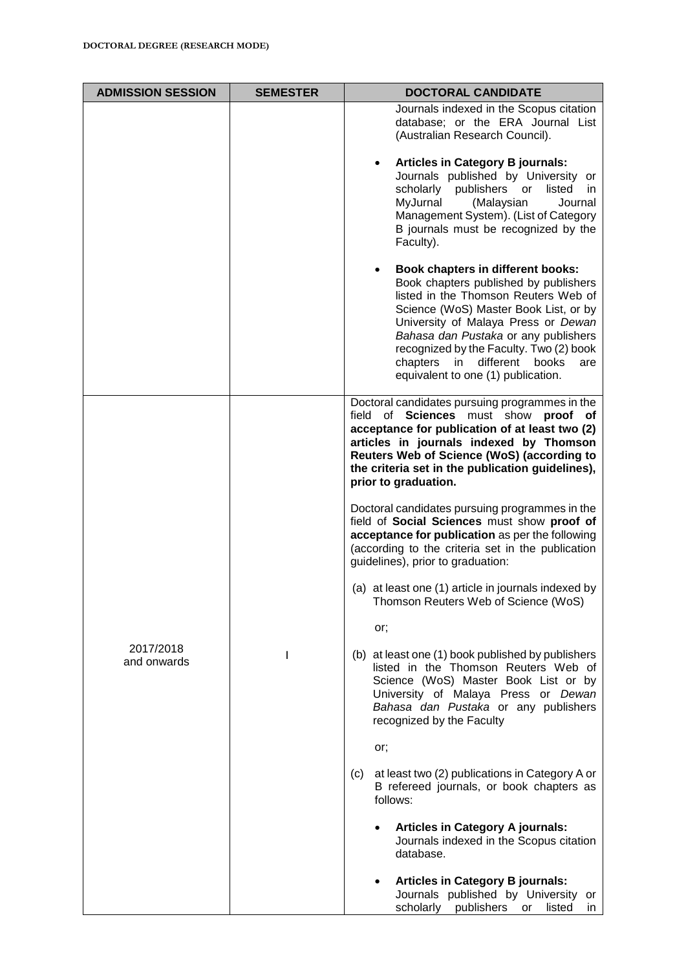| <b>ADMISSION SESSION</b> | <b>SEMESTER</b> | <b>DOCTORAL CANDIDATE</b>                                                                                                                                                                                                                                                                                                                                                   |
|--------------------------|-----------------|-----------------------------------------------------------------------------------------------------------------------------------------------------------------------------------------------------------------------------------------------------------------------------------------------------------------------------------------------------------------------------|
|                          |                 | Journals indexed in the Scopus citation<br>database; or the ERA Journal List<br>(Australian Research Council).                                                                                                                                                                                                                                                              |
|                          |                 | <b>Articles in Category B journals:</b><br>Journals published by University or<br>scholarly publishers or<br>listed<br>in.<br>MyJurnal<br>(Malaysian<br>Journal<br>Management System). (List of Category<br>B journals must be recognized by the<br>Faculty).                                                                                                               |
|                          |                 | <b>Book chapters in different books:</b><br>Book chapters published by publishers<br>listed in the Thomson Reuters Web of<br>Science (WoS) Master Book List, or by<br>University of Malaya Press or Dewan<br>Bahasa dan Pustaka or any publishers<br>recognized by the Faculty. Two (2) book<br>chapters in different<br>books<br>are<br>equivalent to one (1) publication. |
| 2017/2018<br>and onwards |                 | Doctoral candidates pursuing programmes in the<br>field<br>of Sciences must show proof of<br>acceptance for publication of at least two (2)<br>articles in journals indexed by Thomson<br>Reuters Web of Science (WoS) (according to<br>the criteria set in the publication guidelines),<br>prior to graduation.                                                            |
|                          |                 | Doctoral candidates pursuing programmes in the<br>field of Social Sciences must show proof of<br>acceptance for publication as per the following<br>(according to the criteria set in the publication<br>guidelines), prior to graduation:                                                                                                                                  |
|                          |                 | (a) at least one (1) article in journals indexed by<br>Thomson Reuters Web of Science (WoS)                                                                                                                                                                                                                                                                                 |
|                          |                 | or;                                                                                                                                                                                                                                                                                                                                                                         |
|                          | ı               | (b) at least one (1) book published by publishers<br>listed in the Thomson Reuters Web of<br>Science (WoS) Master Book List or by<br>University of Malaya Press or Dewan<br>Bahasa dan Pustaka or any publishers<br>recognized by the Faculty                                                                                                                               |
|                          |                 | or;                                                                                                                                                                                                                                                                                                                                                                         |
|                          |                 | at least two (2) publications in Category A or<br>(c)<br>B refereed journals, or book chapters as<br>follows:                                                                                                                                                                                                                                                               |
|                          |                 | <b>Articles in Category A journals:</b><br>Journals indexed in the Scopus citation<br>database.                                                                                                                                                                                                                                                                             |
|                          |                 | <b>Articles in Category B journals:</b><br>Journals published by University or<br>scholarly publishers or listed<br>in.                                                                                                                                                                                                                                                     |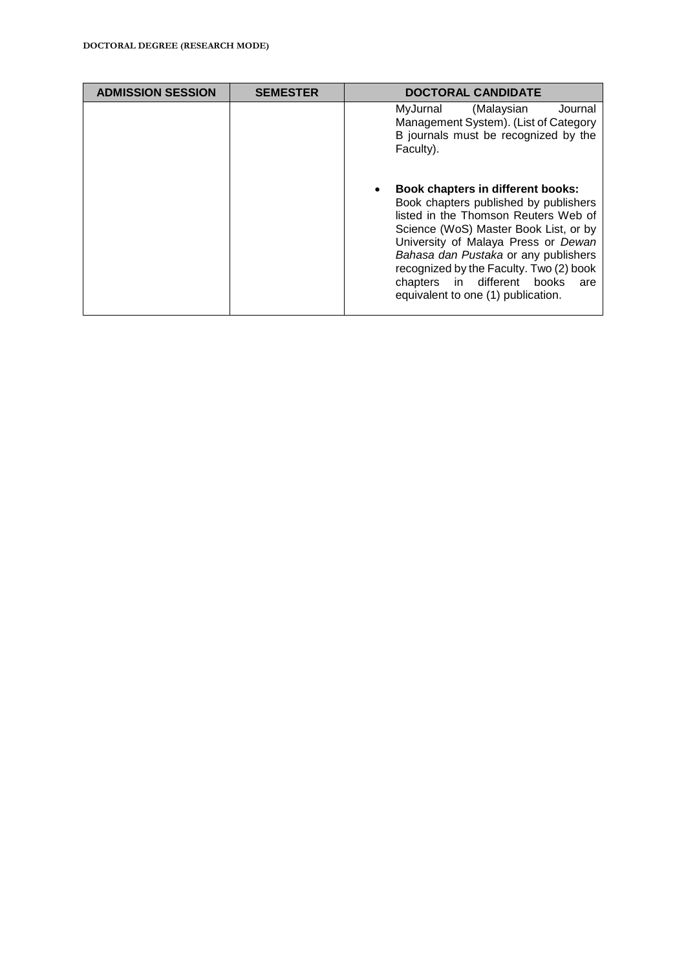| <b>ADMISSION SESSION</b> | <b>SEMESTER</b> | <b>DOCTORAL CANDIDATE</b>                                                                                                                                                                                                                                                                                                                                                |
|--------------------------|-----------------|--------------------------------------------------------------------------------------------------------------------------------------------------------------------------------------------------------------------------------------------------------------------------------------------------------------------------------------------------------------------------|
|                          |                 | (Malaysian<br>MyJurnal<br>Journal<br>Management System). (List of Category<br>B journals must be recognized by the<br>Faculty).                                                                                                                                                                                                                                          |
|                          |                 | <b>Book chapters in different books:</b><br>Book chapters published by publishers<br>listed in the Thomson Reuters Web of<br>Science (WoS) Master Book List, or by<br>University of Malaya Press or Dewan<br>Bahasa dan Pustaka or any publishers<br>recognized by the Faculty. Two (2) book<br>chapters in different books<br>are<br>equivalent to one (1) publication. |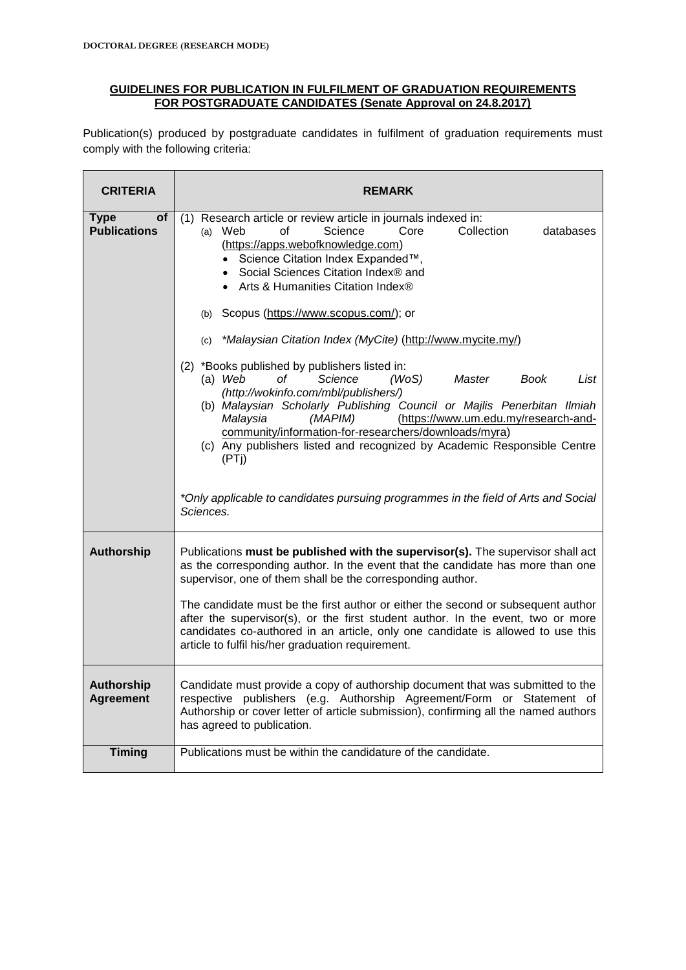#### **GUIDELINES FOR PUBLICATION IN FULFILMENT OF GRADUATION REQUIREMENTS FOR POSTGRADUATE CANDIDATES (Senate Approval on 24.8.2017)**

Publication(s) produced by postgraduate candidates in fulfilment of graduation requirements must comply with the following criteria:

| <b>CRITERIA</b>                          | <b>REMARK</b>                                                                                                                                                                                                                                                                                                                                                                                                                                                                                                                                                                                                                                                                                                                                                                                                                                                                                                                                                |
|------------------------------------------|--------------------------------------------------------------------------------------------------------------------------------------------------------------------------------------------------------------------------------------------------------------------------------------------------------------------------------------------------------------------------------------------------------------------------------------------------------------------------------------------------------------------------------------------------------------------------------------------------------------------------------------------------------------------------------------------------------------------------------------------------------------------------------------------------------------------------------------------------------------------------------------------------------------------------------------------------------------|
| of<br><b>Type</b><br><b>Publications</b> | (1) Research article or review article in journals indexed in:<br>Science<br>Core<br>Collection<br>$(a)$ Web<br>οf<br>databases<br>(https://apps.webofknowledge.com)<br>• Science Citation Index Expanded™,<br>• Social Sciences Citation Index® and<br>• Arts & Humanities Citation Index®<br>(b) Scopus (https://www.scopus.com/); or<br>(c) *Malaysian Citation Index (MyCite) (http://www.mycite.my/)<br>(2) *Books published by publishers listed in:<br>$(a)$ Web<br>οf<br>Science<br>(WoS)<br>Master<br>Book<br>List<br>(http://wokinfo.com/mbl/publishers/)<br>(b) Malaysian Scholarly Publishing Council or Majlis Penerbitan Ilmiah<br>Malaysia<br>(MAPIM)<br>(https://www.um.edu.my/research-and-<br>community/information-for-researchers/downloads/myra)<br>(c) Any publishers listed and recognized by Academic Responsible Centre<br>(PTi)<br>*Only applicable to candidates pursuing programmes in the field of Arts and Social<br>Sciences. |
| <b>Authorship</b>                        | Publications must be published with the supervisor(s). The supervisor shall act<br>as the corresponding author. In the event that the candidate has more than one<br>supervisor, one of them shall be the corresponding author.<br>The candidate must be the first author or either the second or subsequent author<br>after the supervisor(s), or the first student author. In the event, two or more<br>candidates co-authored in an article, only one candidate is allowed to use this<br>article to fulfil his/her graduation requirement.                                                                                                                                                                                                                                                                                                                                                                                                               |
| <b>Authorship</b><br><b>Agreement</b>    | Candidate must provide a copy of authorship document that was submitted to the<br>respective publishers (e.g. Authorship Agreement/Form or Statement of<br>Authorship or cover letter of article submission), confirming all the named authors<br>has agreed to publication.                                                                                                                                                                                                                                                                                                                                                                                                                                                                                                                                                                                                                                                                                 |
| <b>Timing</b>                            | Publications must be within the candidature of the candidate.                                                                                                                                                                                                                                                                                                                                                                                                                                                                                                                                                                                                                                                                                                                                                                                                                                                                                                |